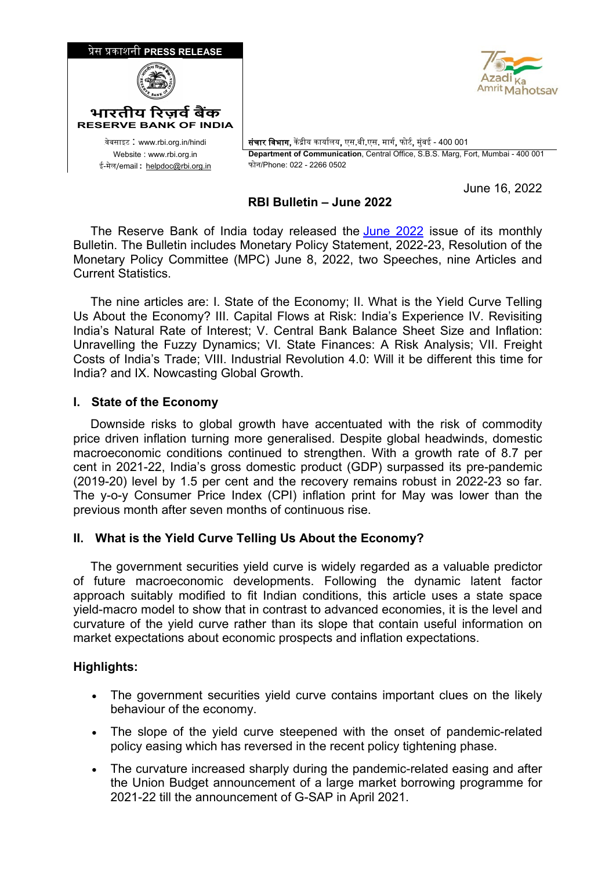



<sup>0</sup>वेबसाइट : www.rbi.org.in/hindi संचार िवभाग, क� �ीय कायार्लय, एस.बी.एस. मागर्, फोटर्, मुंबई - 400 001 Website : www.rbi.org.in **Department of Communication**, Central Office, S.B.S. Marg, Fort, Mumbai - 400 001<br>ल/email : helpdoc@rbi.org.in फोन/Phone: 022 - 2266 0502

June 16, 2022

# **RBI Bulletin – June 2022**

The Reserve Bank of India today released the [June 2022](https://www.rbi.org.in/Scripts/BS_ViewBulletin.aspx?yr=2022&mon=6) issue of its monthly Bulletin. The Bulletin includes Monetary Policy Statement, 2022-23, Resolution of the Monetary Policy Committee (MPC) June 8, 2022, two Speeches, nine Articles and Current Statistics.

 The nine articles are: I. State of the Economy; II. What is the Yield Curve Telling Us About the Economy? III. Capital Flows at Risk: India's Experience IV. Revisiting India's Natural Rate of Interest; V. Central Bank Balance Sheet Size and Inflation: Unravelling the Fuzzy Dynamics; VI. State Finances: A Risk Analysis; VII. Freight Costs of India's Trade; VIII. Industrial Revolution 4.0: Will it be different this time for India? and IX. Nowcasting Global Growth.

#### **I. State of the Economy**

 Downside risks to global growth have accentuated with the risk of commodity price driven inflation turning more generalised. Despite global headwinds, domestic macroeconomic conditions continued to strengthen. With a growth rate of 8.7 per cent in 2021-22, India's gross domestic product (GDP) surpassed its pre-pandemic (2019-20) level by 1.5 per cent and the recovery remains robust in 2022-23 so far. The y-o-y Consumer Price Index (CPI) inflation print for May was lower than the previous month after seven months of continuous rise.

### **II. What is the Yield Curve Telling Us About the Economy?**

 The government securities yield curve is widely regarded as a valuable predictor of future macroeconomic developments. Following the dynamic latent factor approach suitably modified to fit Indian conditions, this article uses a state space yield-macro model to show that in contrast to advanced economies, it is the level and curvature of the yield curve rather than its slope that contain useful information on market expectations about economic prospects and inflation expectations.

### **Highlights:**

- The government securities yield curve contains important clues on the likely behaviour of the economy.
- The slope of the yield curve steepened with the onset of pandemic-related policy easing which has reversed in the recent policy tightening phase.
- The curvature increased sharply during the pandemic-related easing and after the Union Budget announcement of a large market borrowing programme for 2021-22 till the announcement of G-SAP in April 2021.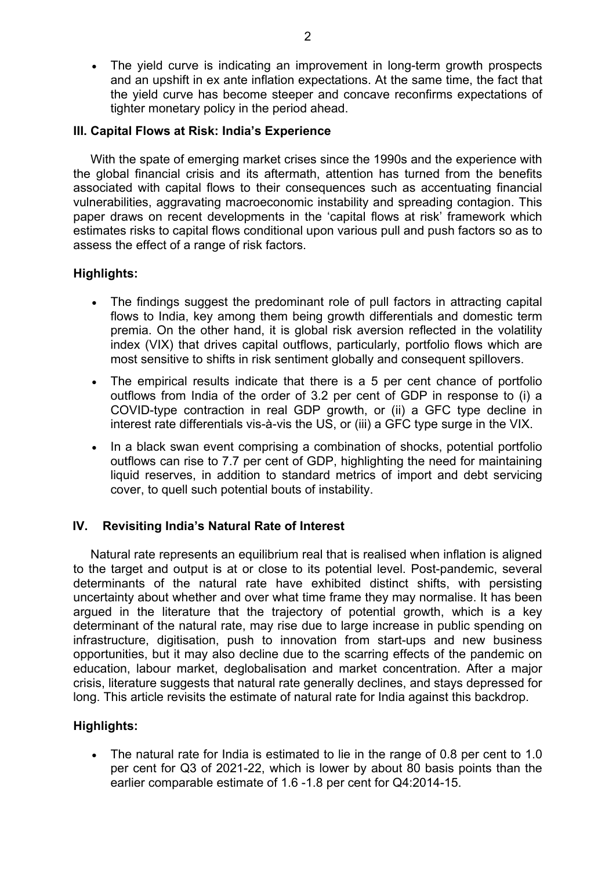• The yield curve is indicating an improvement in long-term growth prospects and an upshift in ex ante inflation expectations. At the same time, the fact that the yield curve has become steeper and concave reconfirms expectations of tighter monetary policy in the period ahead.

### **III. Capital Flows at Risk: India's Experience**

 With the spate of emerging market crises since the 1990s and the experience with the global financial crisis and its aftermath, attention has turned from the benefits associated with capital flows to their consequences such as accentuating financial vulnerabilities, aggravating macroeconomic instability and spreading contagion. This paper draws on recent developments in the 'capital flows at risk' framework which estimates risks to capital flows conditional upon various pull and push factors so as to assess the effect of a range of risk factors.

# **Highlights:**

- The findings suggest the predominant role of pull factors in attracting capital flows to India, key among them being growth differentials and domestic term premia. On the other hand, it is global risk aversion reflected in the volatility index (VIX) that drives capital outflows, particularly, portfolio flows which are most sensitive to shifts in risk sentiment globally and consequent spillovers.
- The empirical results indicate that there is a 5 per cent chance of portfolio outflows from India of the order of 3.2 per cent of GDP in response to (i) a COVID-type contraction in real GDP growth, or (ii) a GFC type decline in interest rate differentials vis-à-vis the US, or (iii) a GFC type surge in the VIX.
- In a black swan event comprising a combination of shocks, potential portfolio outflows can rise to 7.7 per cent of GDP, highlighting the need for maintaining liquid reserves, in addition to standard metrics of import and debt servicing cover, to quell such potential bouts of instability.

### **IV. Revisiting India's Natural Rate of Interest**

 Natural rate represents an equilibrium real that is realised when inflation is aligned to the target and output is at or close to its potential level. Post-pandemic, several determinants of the natural rate have exhibited distinct shifts, with persisting uncertainty about whether and over what time frame they may normalise. It has been argued in the literature that the trajectory of potential growth, which is a key determinant of the natural rate, may rise due to large increase in public spending on infrastructure, digitisation, push to innovation from start-ups and new business opportunities, but it may also decline due to the scarring effects of the pandemic on education, labour market, deglobalisation and market concentration. After a major crisis, literature suggests that natural rate generally declines, and stays depressed for long. This article revisits the estimate of natural rate for India against this backdrop.

### **Highlights:**

• The natural rate for India is estimated to lie in the range of 0.8 per cent to 1.0 per cent for Q3 of 2021-22, which is lower by about 80 basis points than the earlier comparable estimate of 1.6 -1.8 per cent for Q4:2014-15.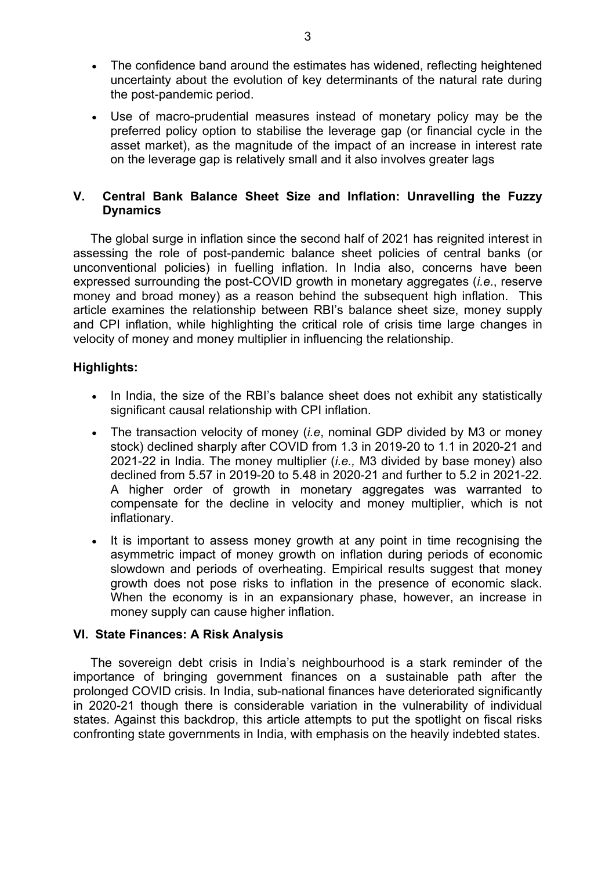- The confidence band around the estimates has widened, reflecting heightened uncertainty about the evolution of key determinants of the natural rate during the post-pandemic period.
- Use of macro-prudential measures instead of monetary policy may be the preferred policy option to stabilise the leverage gap (or financial cycle in the asset market), as the magnitude of the impact of an increase in interest rate on the leverage gap is relatively small and it also involves greater lags

# **V. Central Bank Balance Sheet Size and Inflation: Unravelling the Fuzzy Dynamics**

 The global surge in inflation since the second half of 2021 has reignited interest in assessing the role of post-pandemic balance sheet policies of central banks (or unconventional policies) in fuelling inflation. In India also, concerns have been expressed surrounding the post-COVID growth in monetary aggregates (*i.e*., reserve money and broad money) as a reason behind the subsequent high inflation. This article examines the relationship between RBI's balance sheet size, money supply and CPI inflation, while highlighting the critical role of crisis time large changes in velocity of money and money multiplier in influencing the relationship.

### **Highlights:**

- In India, the size of the RBI's balance sheet does not exhibit any statistically significant causal relationship with CPI inflation.
- The transaction velocity of money (*i.e*, nominal GDP divided by M3 or money stock) declined sharply after COVID from 1.3 in 2019-20 to 1.1 in 2020-21 and 2021-22 in India. The money multiplier (*i.e.,* M3 divided by base money) also declined from 5.57 in 2019-20 to 5.48 in 2020-21 and further to 5.2 in 2021-22. A higher order of growth in monetary aggregates was warranted to compensate for the decline in velocity and money multiplier, which is not inflationary.
- It is important to assess money growth at any point in time recognising the asymmetric impact of money growth on inflation during periods of economic slowdown and periods of overheating. Empirical results suggest that money growth does not pose risks to inflation in the presence of economic slack. When the economy is in an expansionary phase, however, an increase in money supply can cause higher inflation.

### **VI. State Finances: A Risk Analysis**

 The sovereign debt crisis in India's neighbourhood is a stark reminder of the importance of bringing government finances on a sustainable path after the prolonged COVID crisis. In India, sub-national finances have deteriorated significantly in 2020-21 though there is considerable variation in the vulnerability of individual states. Against this backdrop, this article attempts to put the spotlight on fiscal risks confronting state governments in India, with emphasis on the heavily indebted states.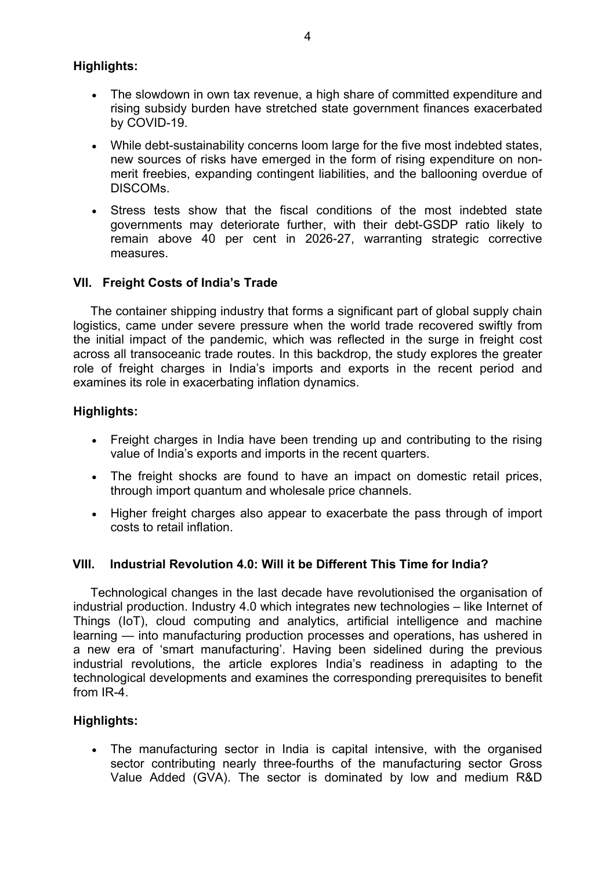# **Highlights:**

- The slowdown in own tax revenue, a high share of committed expenditure and rising subsidy burden have stretched state government finances exacerbated by COVID-19.
- While debt-sustainability concerns loom large for the five most indebted states, new sources of risks have emerged in the form of rising expenditure on nonmerit freebies, expanding contingent liabilities, and the ballooning overdue of DISCOMs.
- Stress tests show that the fiscal conditions of the most indebted state governments may deteriorate further, with their debt-GSDP ratio likely to remain above 40 per cent in 2026-27, warranting strategic corrective measures.

# **VII. Freight Costs of India's Trade**

 The container shipping industry that forms a significant part of global supply chain logistics, came under severe pressure when the world trade recovered swiftly from the initial impact of the pandemic, which was reflected in the surge in freight cost across all transoceanic trade routes. In this backdrop, the study explores the greater role of freight charges in India's imports and exports in the recent period and examines its role in exacerbating inflation dynamics.

# **Highlights:**

- Freight charges in India have been trending up and contributing to the rising value of India's exports and imports in the recent quarters.
- The freight shocks are found to have an impact on domestic retail prices, through import quantum and wholesale price channels.
- Higher freight charges also appear to exacerbate the pass through of import costs to retail inflation.

### **VIII. Industrial Revolution 4.0: Will it be Different This Time for India?**

 Technological changes in the last decade have revolutionised the organisation of industrial production. Industry 4.0 which integrates new technologies – like Internet of Things (IoT), cloud computing and analytics, artificial intelligence and machine learning — into manufacturing production processes and operations, has ushered in a new era of 'smart manufacturing'. Having been sidelined during the previous industrial revolutions, the article explores India's readiness in adapting to the technological developments and examines the corresponding prerequisites to benefit from IR-4.

### **Highlights:**

• The manufacturing sector in India is capital intensive, with the organised sector contributing nearly three-fourths of the manufacturing sector Gross Value Added (GVA). The sector is dominated by low and medium R&D